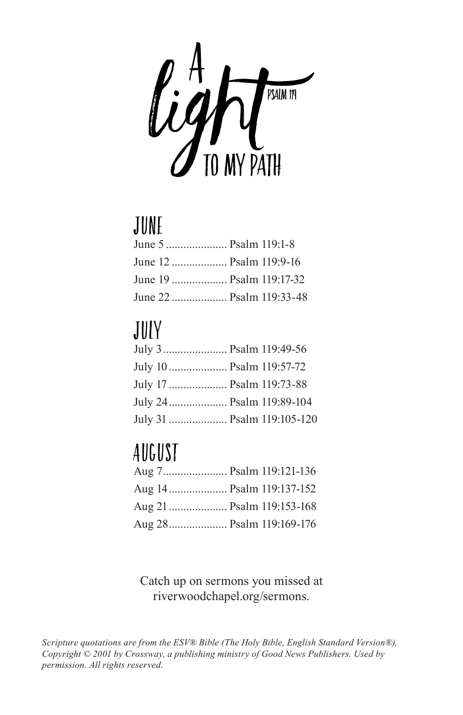

#### **JUNE**

#### **JULY**

| July 31  Psalm 119:105-120 |  |
|----------------------------|--|

#### AUGUST

| Aug 7 Psalm 119:121-136   |  |
|---------------------------|--|
| Aug 14  Psalm 119:137-152 |  |
| Aug 21  Psalm 119:153-168 |  |
|                           |  |

Catch up on sermons you missed at riverwoodchapel.org/sermons.

*Scripture quotations are from the ESV® Bible (The Holy Bible, English Standard Version®), Copyright © 2001 by Crossway, a publishing ministry of Good News Publishers. Used by permission. All rights reserved.*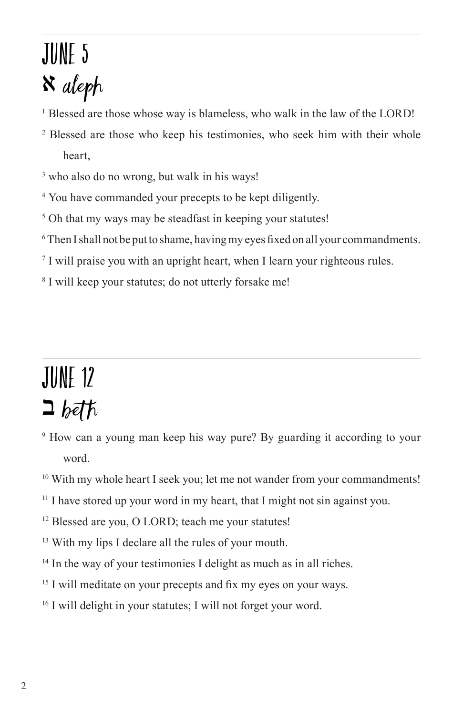## JUNE 5 **N** aleph

- <sup>1</sup> Blessed are those whose way is blameless, who walk in the law of the LORD!
- <sup>2</sup> Blessed are those who keep his testimonies, who seek him with their whole heart,
- 3 who also do no wrong, but walk in his ways!
- 4 You have commanded your precepts to be kept diligently.
- <sup>5</sup> Oh that my ways may be steadfast in keeping your statutes!
- 6 Then I shall not be put to shame, having my eyes fixed on all your commandments.
- 7 I will praise you with an upright heart, when I learn your righteous rules.
- 8 I will keep your statutes; do not utterly forsake me!

### June 12  $\exists$  beth

- 9 How can a young man keep his way pure? By guarding it according to your word.
- <sup>10</sup> With my whole heart I seek you; let me not wander from your commandments!
- $11$  I have stored up your word in my heart, that I might not sin against you.
- <sup>12</sup> Blessed are you, O LORD; teach me your statutes!
- <sup>13</sup> With my lips I declare all the rules of your mouth.
- $14$  In the way of your testimonies I delight as much as in all riches.
- <sup>15</sup> I will meditate on your precepts and fix my eyes on your ways.
- <sup>16</sup> I will delight in your statutes; I will not forget your word.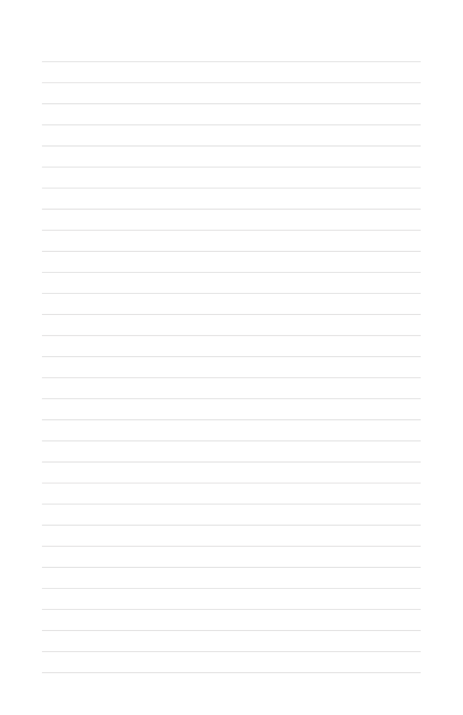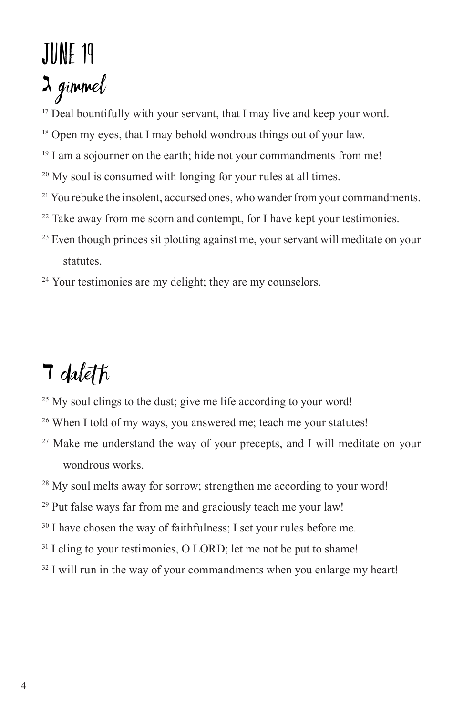# JUNE 19 Gimmel ג

<sup>17</sup> Deal bountifully with your servant, that I may live and keep your word.

<sup>18</sup> Open my eyes, that I may behold wondrous things out of your law.

<sup>19</sup> I am a sojourner on the earth; hide not your commandments from me!

<sup>20</sup> My soul is consumed with longing for your rules at all times.

- <sup>21</sup> You rebuke the insolent, accursed ones, who wander from your commandments.
- $22$  Take away from me scorn and contempt, for I have kept your testimonies.
- <sup>23</sup> Even though princes sit plotting against me, your servant will meditate on your statutes.

<sup>24</sup> Your testimonies are my delight; they are my counselors.

### 7 daleth

<sup>25</sup> My soul clings to the dust; give me life according to your word!

- <sup>26</sup> When I told of my ways, you answered me; teach me your statutes!
- <sup>27</sup> Make me understand the way of your precepts, and I will meditate on your wondrous works.

<sup>28</sup> My soul melts away for sorrow; strengthen me according to your word!

29 Put false ways far from me and graciously teach me your law!

<sup>30</sup> I have chosen the way of faithfulness; I set your rules before me.

<sup>31</sup> I cling to your testimonies, O LORD; let me not be put to shame!

 $32$  I will run in the way of your commandments when you enlarge my heart!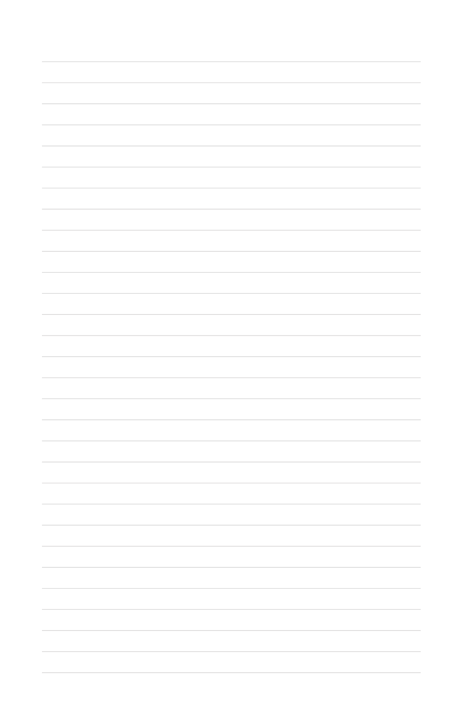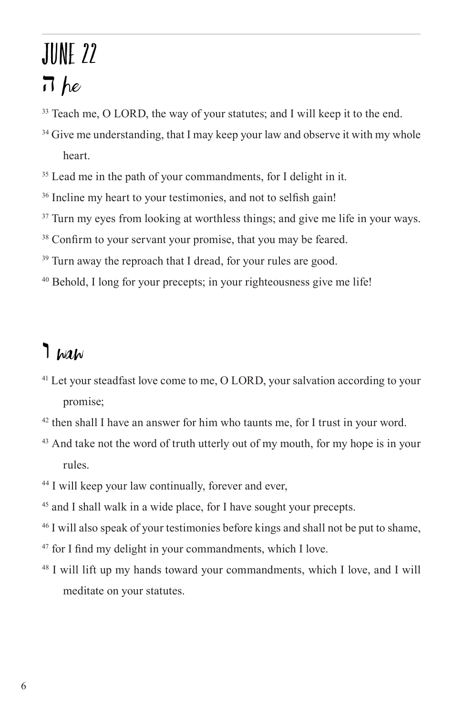#### June 22  $7he$

<sup>33</sup> Teach me, O LORD, the way of your statutes; and I will keep it to the end.

<sup>34</sup> Give me understanding, that I may keep your law and observe it with my whole heart.

<sup>35</sup> Lead me in the path of your commandments, for I delight in it.

<sup>36</sup> Incline my heart to your testimonies, and not to selfish gain!

<sup>37</sup> Turn my eyes from looking at worthless things; and give me life in your ways.

<sup>38</sup> Confirm to your servant your promise, that you may be feared.

<sup>39</sup> Turn away the reproach that I dread, for your rules are good.

40 Behold, I long for your precepts; in your righteousness give me life!

#### Waw ו

- $41$  Let your steadfast love come to me, O LORD, your salvation according to your promise;
- $42$  then shall I have an answer for him who taunts me, for I trust in your word.

<sup>43</sup> And take not the word of truth utterly out of my mouth, for my hope is in your rules.

44 I will keep your law continually, forever and ever,

45 and I shall walk in a wide place, for I have sought your precepts.

46 I will also speak of your testimonies before kings and shall not be put to shame,

<sup>47</sup> for I find my delight in your commandments, which I love.

48 I will lift up my hands toward your commandments, which I love, and I will meditate on your statutes.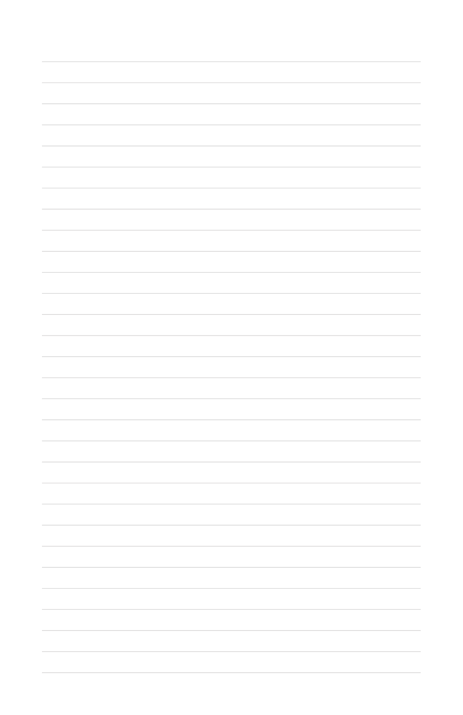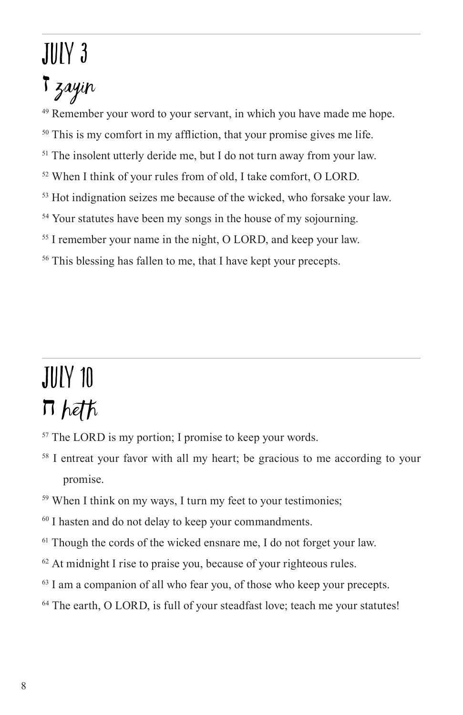# July 3 r zayin

49 Remember your word to your servant, in which you have made me hope. <sup>50</sup> This is my comfort in my affliction, that your promise gives me life. <sup>51</sup> The insolent utterly deride me, but I do not turn away from your law. 52 When I think of your rules from of old, I take comfort, O LORD. <sup>53</sup> Hot indignation seizes me because of the wicked, who forsake your law. <sup>54</sup> Your statutes have been my songs in the house of my sojourning. 55 I remember your name in the night, O LORD, and keep your law. 56 This blessing has fallen to me, that I have kept your precepts.

### July 10  $\Pi$  heth

- <sup>57</sup> The LORD is my portion; I promise to keep your words.
- <sup>58</sup> I entreat your favor with all my heart; be gracious to me according to your promise.
- <sup>59</sup> When I think on my ways, I turn my feet to your testimonies;
- 60 I hasten and do not delay to keep your commandments.
- <sup>61</sup> Though the cords of the wicked ensnare me, I do not forget your law.
- $62$  At midnight I rise to praise you, because of your righteous rules.
- $63$  I am a companion of all who fear you, of those who keep your precepts.
- <sup>64</sup> The earth, O LORD, is full of your steadfast love; teach me your statutes!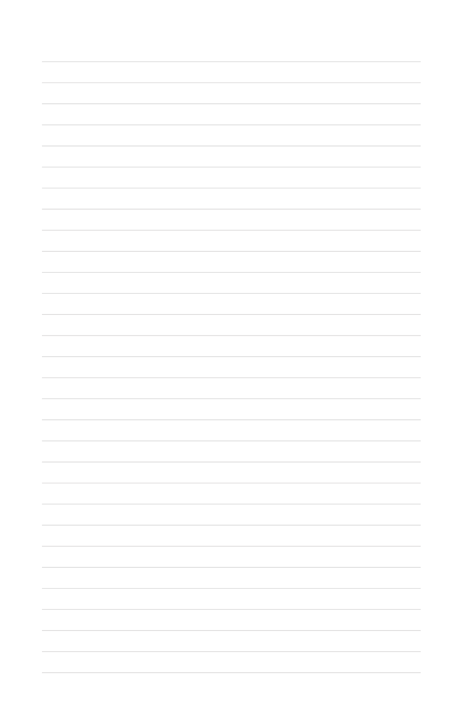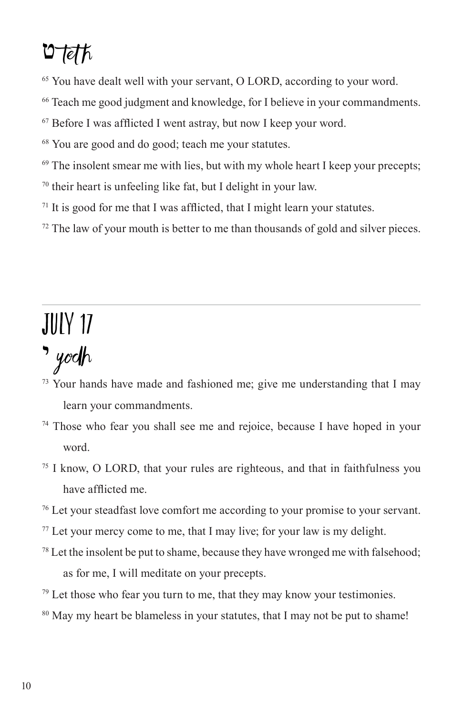#### ש־ $\sigma$

<sup>65</sup> You have dealt well with your servant, O LORD, according to your word.

66 Teach me good judgment and knowledge, for I believe in your commandments.

<sup>67</sup> Before I was afflicted I went astray, but now I keep your word.

68 You are good and do good; teach me your statutes.

 $69$  The insolent smear me with lies, but with my whole heart I keep your precepts;

70 their heart is unfeeling like fat, but I delight in your law.

 $71$  It is good for me that I was afflicted, that I might learn your statutes.

 $72$  The law of your mouth is better to me than thousands of gold and silver pieces.

#### JULY 17

- Yodh י
- <sup>73</sup> Your hands have made and fashioned me; give me understanding that I may learn your commandments.
- <sup>74</sup> Those who fear you shall see me and rejoice, because I have hoped in your word.
- 75 I know, O LORD, that your rules are righteous, and that in faithfulness you have afflicted me.
- $76$  Let your steadfast love comfort me according to your promise to your servant.
- $77$  Let your mercy come to me, that I may live; for your law is my delight.
- $78$  Let the insolent be put to shame, because they have wronged me with falsehood; as for me, I will meditate on your precepts.
- $79$  Let those who fear you turn to me, that they may know your testimonies.
- <sup>80</sup> May my heart be blameless in your statutes, that I may not be put to shame!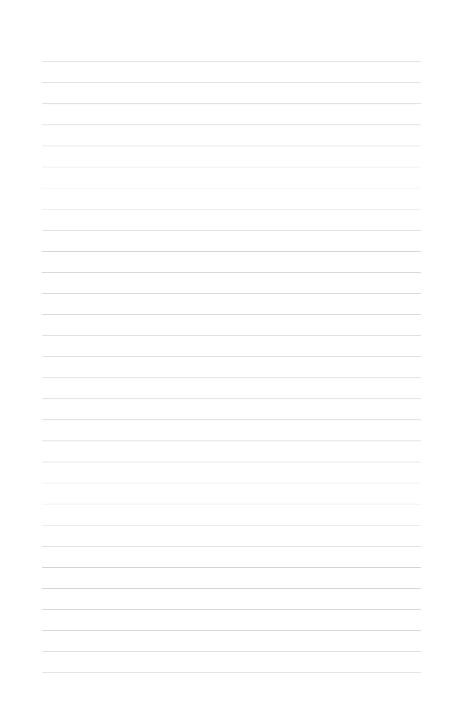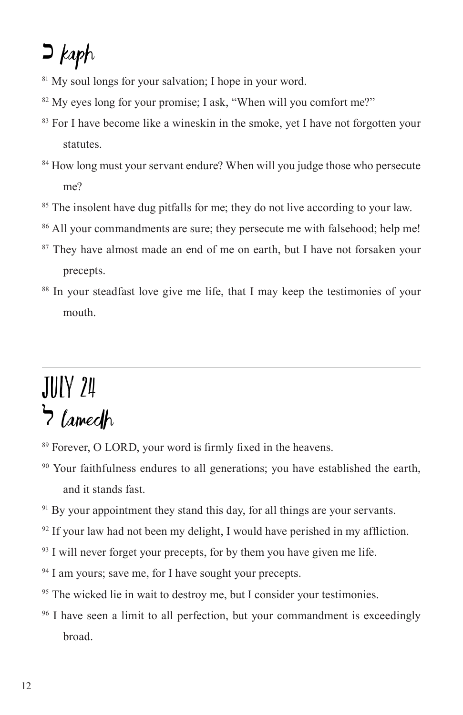### $\supset$  kaph

- <sup>81</sup> My soul longs for your salvation; I hope in your word.
- <sup>82</sup> My eyes long for your promise; I ask, "When will you comfort me?"
- <sup>83</sup> For I have become like a wineskin in the smoke, yet I have not forgotten your statutes.
- <sup>84</sup> How long must your servant endure? When will you judge those who persecute me?
- <sup>85</sup> The insolent have dug pitfalls for me; they do not live according to your law.
- <sup>86</sup> All your commandments are sure; they persecute me with falsehood; help me!
- <sup>87</sup> They have almost made an end of me on earth, but I have not forsaken your precepts.
- <sup>88</sup> In your steadfast love give me life, that I may keep the testimonies of your mouth.

#### July 24 Lamedh ל

<sup>89</sup> Forever, O LORD, your word is firmly fixed in the heavens.

- <sup>90</sup> Your faithfulness endures to all generations; you have established the earth, and it stands fast.
- $91$  By your appointment they stand this day, for all things are your servants.
- $92$  If your law had not been my delight, I would have perished in my affliction.
- $93$  I will never forget your precepts, for by them you have given me life.
- <sup>94</sup> I am yours; save me, for I have sought your precepts.
- <sup>95</sup> The wicked lie in wait to destroy me, but I consider your testimonies.
- <sup>96</sup> I have seen a limit to all perfection, but your commandment is exceedingly broad.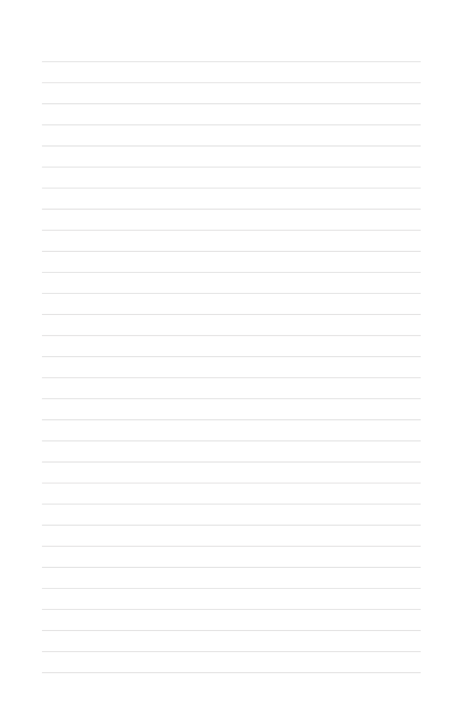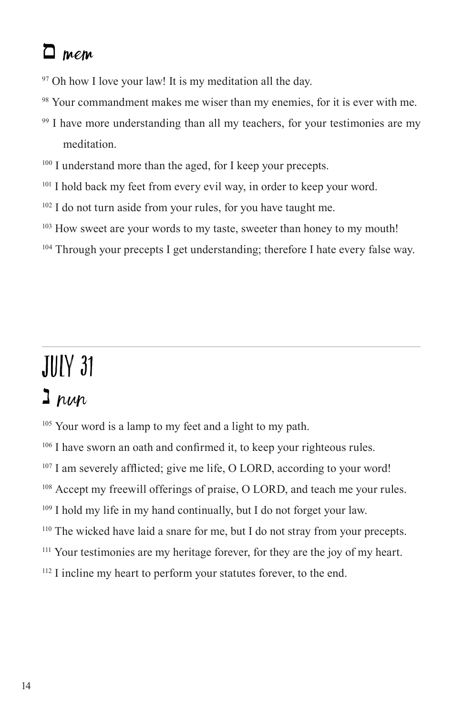#### $\Box$  mem

<sup>97</sup> Oh how I love your law! It is my meditation all the day.

- $98$  Your commandment makes me wiser than my enemies, for it is ever with me.
- <sup>99</sup> I have more understanding than all my teachers, for your testimonies are my meditation.
- <sup>100</sup> I understand more than the aged, for I keep your precepts.
- <sup>101</sup> I hold back my feet from every evil way, in order to keep your word.
- <sup>102</sup> I do not turn aside from your rules, for you have taught me.
- <sup>103</sup> How sweet are your words to my taste, sweeter than honey to my mouth!
- <sup>104</sup> Through your precepts I get understanding; therefore I hate every false way.

### July 31  $\frac{1}{\mu}$

<sup>105</sup> Your word is a lamp to my feet and a light to my path.

<sup>106</sup> I have sworn an oath and confirmed it, to keep your righteous rules.

<sup>107</sup> I am severely afflicted; give me life, O LORD, according to your word!

<sup>108</sup> Accept my freewill offerings of praise, O LORD, and teach me your rules.

109 I hold my life in my hand continually, but I do not forget your law.

<sup>110</sup> The wicked have laid a snare for me, but I do not stray from your precepts.

<sup>111</sup> Your testimonies are my heritage forever, for they are the joy of my heart.

<sup>112</sup> I incline my heart to perform your statutes forever, to the end.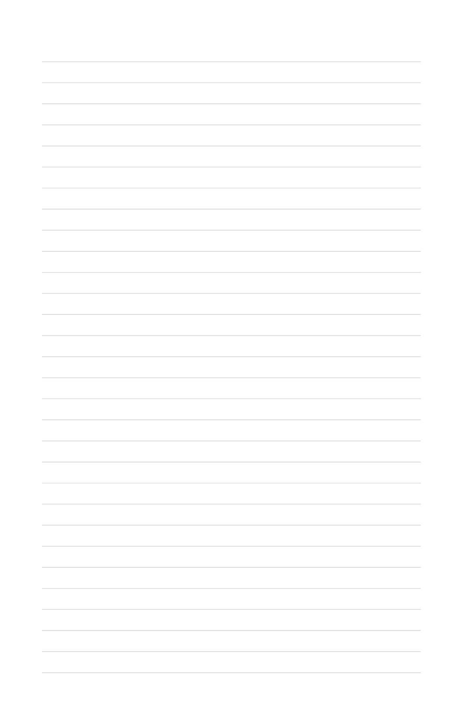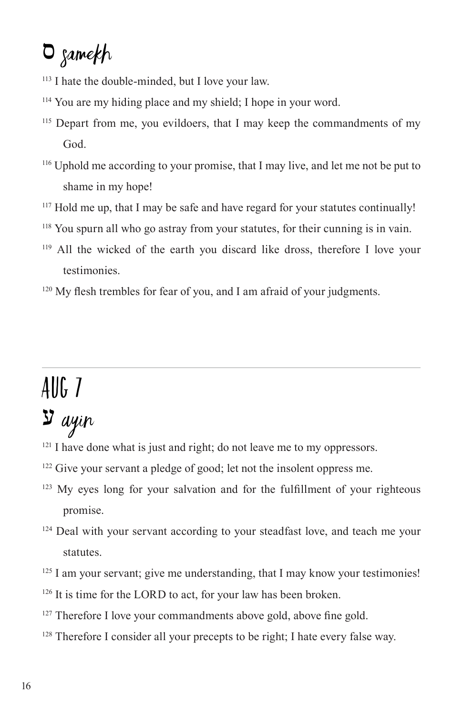#### Samekh ס

113 I hate the double-minded, but I love your law.

- 114 You are my hiding place and my shield; I hope in your word.
- <sup>115</sup> Depart from me, you evildoers, that I may keep the commandments of my God.
- 116 Uphold me according to your promise, that I may live, and let me not be put to shame in my hope!
- <sup>117</sup> Hold me up, that I may be safe and have regard for your statutes continually!
- 118 You spurn all who go astray from your statutes, for their cunning is in vain.
- 119 All the wicked of the earth you discard like dross, therefore I love your testimonies.
- <sup>120</sup> My flesh trembles for fear of you, and I am afraid of your judgments.

# Aug 7

# יציא<br>**א** עצ

- <sup>121</sup> I have done what is just and right; do not leave me to my oppressors.
- <sup>122</sup> Give your servant a pledge of good; let not the insolent oppress me.
- <sup>123</sup> My eyes long for your salvation and for the fulfillment of your righteous promise.
- <sup>124</sup> Deal with your servant according to your steadfast love, and teach me your statutes.
- $125$  I am your servant; give me understanding, that I may know your testimonies!
- <sup>126</sup> It is time for the LORD to act, for your law has been broken.
- <sup>127</sup> Therefore I love your commandments above gold, above fine gold.
- <sup>128</sup> Therefore I consider all your precepts to be right; I hate every false way.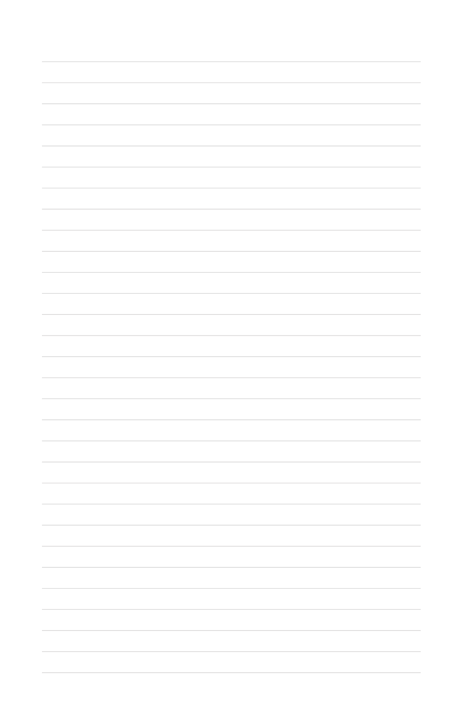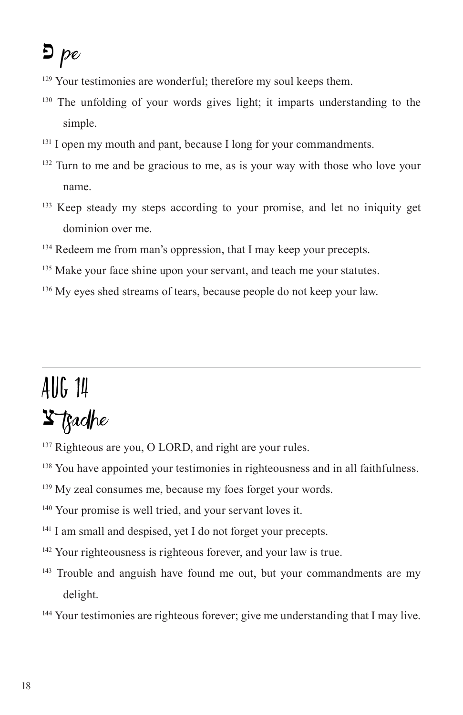#### Pe פ

129 Your testimonies are wonderful; therefore my soul keeps them.

- <sup>130</sup> The unfolding of your words gives light; it imparts understanding to the simple.
- <sup>131</sup> I open my mouth and pant, because I long for your commandments.
- <sup>132</sup> Turn to me and be gracious to me, as is your way with those who love your name.
- <sup>133</sup> Keep steady my steps according to your promise, and let no iniquity get dominion over me.
- <sup>134</sup> Redeem me from man's oppression, that I may keep your precepts.
- <sup>135</sup> Make your face shine upon your servant, and teach me your statutes.
- <sup>136</sup> My eyes shed streams of tears, because people do not keep your law.

#### Aug 14 Tsadhe צ

<sup>137</sup> Righteous are you, O LORD, and right are your rules.

- <sup>138</sup> You have appointed your testimonies in righteousness and in all faithfulness.
- <sup>139</sup> My zeal consumes me, because my foes forget your words.

140 Your promise is well tried, and your servant loves it.

- <sup>141</sup> I am small and despised, yet I do not forget your precepts.
- <sup>142</sup> Your righteousness is righteous forever, and your law is true.
- <sup>143</sup> Trouble and anguish have found me out, but your commandments are my delight.
- <sup>144</sup> Your testimonies are righteous forever; give me understanding that I may live.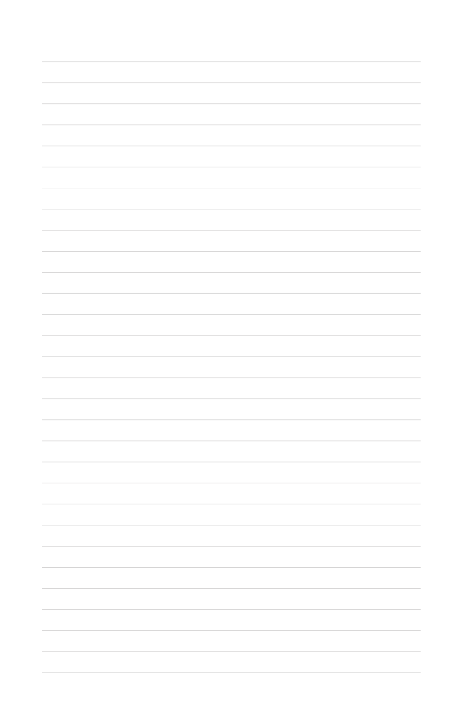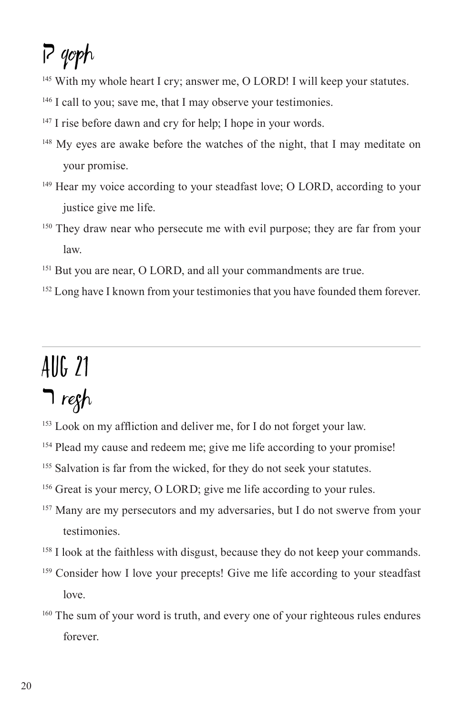# Qoph ק

<sup>145</sup> With my whole heart I cry; answer me, O LORD! I will keep your statutes.

<sup>146</sup> I call to you; save me, that I may observe your testimonies.

<sup>147</sup> I rise before dawn and cry for help; I hope in your words.

- <sup>148</sup> My eyes are awake before the watches of the night, that I may meditate on your promise.
- <sup>149</sup> Hear my voice according to your steadfast love; O LORD, according to your justice give me life.
- <sup>150</sup> They draw near who persecute me with evil purpose; they are far from your law.
- <sup>151</sup> But you are near, O LORD, and all your commandments are true.
- <sup>152</sup> Long have I known from your testimonies that you have founded them forever.

# Aug 21 Resh ר

- <sup>153</sup> Look on my affliction and deliver me, for I do not forget your law.
- <sup>154</sup> Plead my cause and redeem me; give me life according to your promise!
- <sup>155</sup> Salvation is far from the wicked, for they do not seek your statutes.
- <sup>156</sup> Great is your mercy, O LORD; give me life according to your rules.
- <sup>157</sup> Many are my persecutors and my adversaries, but I do not swerve from your testimonies.
- <sup>158</sup> I look at the faithless with disgust, because they do not keep your commands.
- <sup>159</sup> Consider how I love your precepts! Give me life according to your steadfast love.
- 160 The sum of your word is truth, and every one of your righteous rules endures forever.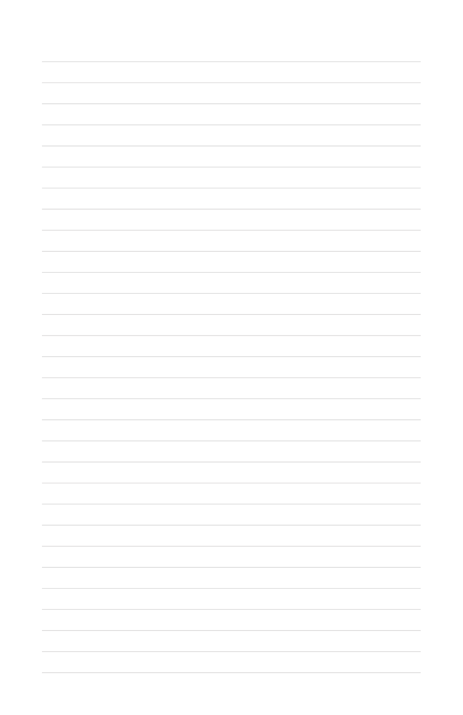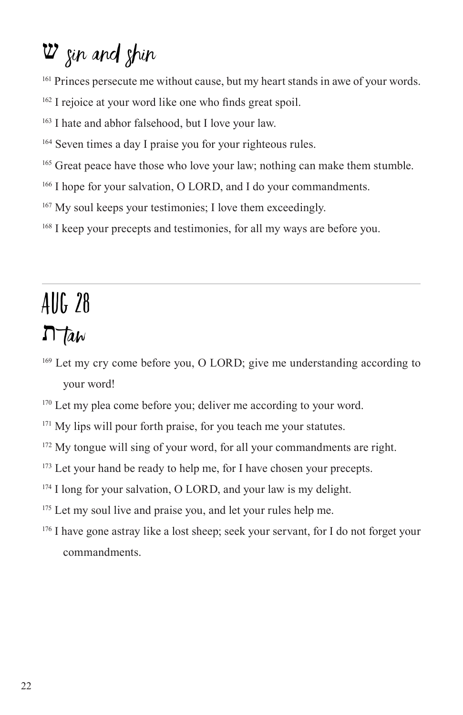#### $\n w \not\in$  sin and shin

<sup>161</sup> Princes persecute me without cause, but my heart stands in awe of your words.

<sup>162</sup> I rejoice at your word like one who finds great spoil.

163 I hate and abhor falsehood, but I love your law.

<sup>164</sup> Seven times a day I praise you for your righteous rules.

<sup>165</sup> Great peace have those who love your law; nothing can make them stumble.

<sup>166</sup> I hope for your salvation, O LORD, and I do your commandments.

<sup>167</sup> My soul keeps your testimonies; I love them exceedingly.

<sup>168</sup> I keep your precepts and testimonies, for all my ways are before you.

### Aug 28  $\Gamma$ Taw

169 Let my cry come before you, O LORD; give me understanding according to your word!

<sup>170</sup> Let my plea come before you; deliver me according to your word.

 $171$  My lips will pour forth praise, for you teach me your statutes.

<sup>172</sup> My tongue will sing of your word, for all your commandments are right.

<sup>173</sup> Let your hand be ready to help me, for I have chosen your precepts.

<sup>174</sup> I long for your salvation, O LORD, and your law is my delight.

<sup>175</sup> Let my soul live and praise you, and let your rules help me.

<sup>176</sup> I have gone astray like a lost sheep; seek your servant, for I do not forget your commandments.